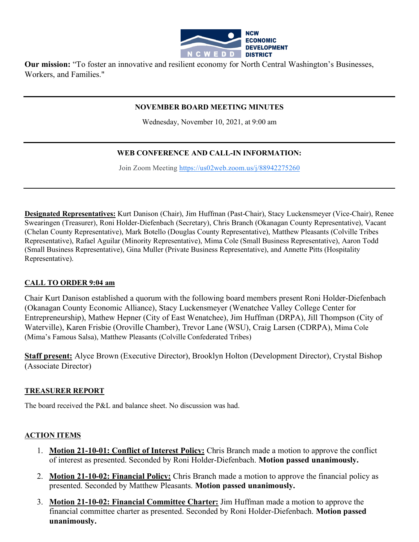

**Our mission:** "To foster an innovative and resilient economy for North Central Washington's Businesses, Workers, and Families."

### **NOVEMBER BOARD MEETING MINUTES**

Wednesday, November 10, 2021, at 9:00 am

## **WEB CONFERENCE AND CALL-IN INFORMATION:**

Join Zoom Meeting [https://us02web.zoom.us/j/88942275260](https://www.google.com/url?q=https://us02web.zoom.us/j/88942275260&sa=D&source=calendar&ust=1597623644231000&usg=AOvVaw0razd11iR42A_UfLivuZTv)

**Designated Representatives:** Kurt Danison (Chair), Jim Huffman (Past-Chair), Stacy Luckensmeyer (Vice-Chair), Renee Swearingen (Treasurer), Roni Holder-Diefenbach (Secretary), Chris Branch (Okanagan County Representative), Vacant (Chelan County Representative), Mark Botello (Douglas County Representative), Matthew Pleasants (Colville Tribes Representative), Rafael Aguilar (Minority Representative), Mima Cole (Small Business Representative), Aaron Todd (Small Business Representative), Gina Muller (Private Business Representative), and Annette Pitts (Hospitality Representative).

### **CALL TO ORDER 9:04 am**

Chair Kurt Danison established a quorum with the following board members present Roni Holder-Diefenbach (Okanagan County Economic Alliance), Stacy Luckensmeyer (Wenatchee Valley College Center for Entrepreneurship), Mathew Hepner (City of East Wenatchee), Jim Huffman (DRPA), Jill Thompson (City of Waterville), Karen Frisbie (Oroville Chamber), Trevor Lane (WSU), Craig Larsen (CDRPA), Mima Cole (Mima's Famous Salsa), Matthew Pleasants (Colville Confederated Tribes)

**Staff present:** Alyce Brown (Executive Director), Brooklyn Holton (Development Director), Crystal Bishop (Associate Director)

#### **TREASURER REPORT**

The board received the P&L and balance sheet. No discussion was had.

#### **ACTION ITEMS**

- 1. **Motion 21-10-01: Conflict of Interest Policy:** Chris Branch made a motion to approve the conflict of interest as presented. Seconded by Roni Holder-Diefenbach. **Motion passed unanimously.**
- 2. **Motion 21-10-02: Financial Policy:** Chris Branch made a motion to approve the financial policy as presented. Seconded by Matthew Pleasants. **Motion passed unanimously.**
- 3. **Motion 21-10-02: Financial Committee Charter:** Jim Huffman made a motion to approve the financial committee charter as presented. Seconded by Roni Holder-Diefenbach. **Motion passed unanimously.**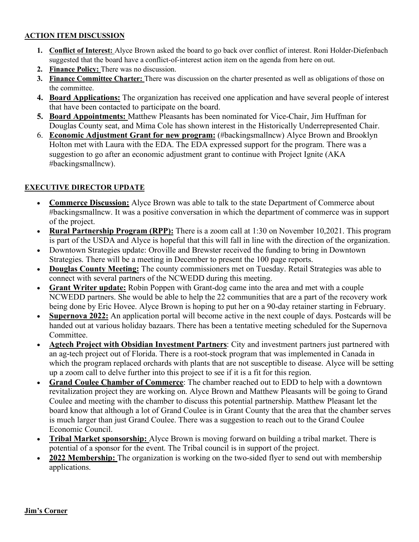### **ACTION ITEM DISCUSSION**

- **1. Conflict of Interest:** Alyce Brown asked the board to go back over conflict of interest. Roni Holder-Diefenbach suggested that the board have a conflict-of-interest action item on the agenda from here on out.
- **2. Finance Policy:** There was no discussion.
- **3. Finance Committee Charter:** There was discussion on the charter presented as well as obligations of those on the committee.
- **4. Board Applications:** The organization has received one application and have several people of interest that have been contacted to participate on the board.
- **5. Board Appointments:** Matthew Pleasants has been nominated for Vice-Chair, Jim Huffman for Douglas County seat, and Mima Cole has shown interest in the Historically Underrepresented Chair.
- 6. **Economic Adjustment Grant for new program:** (#backingsmallncw) Alyce Brown and Brooklyn Holton met with Laura with the EDA. The EDA expressed support for the program. There was a suggestion to go after an economic adjustment grant to continue with Project Ignite (AKA #backingsmallncw).

# **EXECUTIVE DIRECTOR UPDATE**

- **Commerce Discussion:** Alyce Brown was able to talk to the state Department of Commerce about #backingsmallncw. It was a positive conversation in which the department of commerce was in support of the project.
- **Rural Partnership Program (RPP):** There is a zoom call at 1:30 on November 10,2021. This program is part of the USDA and Alyce is hopeful that this will fall in line with the direction of the organization.
- Downtown Strategies update: Oroville and Brewster received the funding to bring in Downtown Strategies. There will be a meeting in December to present the 100 page reports.
- **Douglas County Meeting:** The county commissioners met on Tuesday. Retail Strategies was able to connect with several partners of the NCWEDD during this meeting.
- **Grant Writer update:** Robin Poppen with Grant-dog came into the area and met with a couple NCWEDD partners. She would be able to help the 22 communities that are a part of the recovery work being done by Eric Hovee. Alyce Brown is hoping to put her on a 90-day retainer starting in February.
- **Supernova 2022:** An application portal will become active in the next couple of days. Postcards will be handed out at various holiday bazaars. There has been a tentative meeting scheduled for the Supernova Committee.
- **Agtech Project with Obsidian Investment Partners**: City and investment partners just partnered with an ag-tech project out of Florida. There is a root-stock program that was implemented in Canada in which the program replaced orchards with plants that are not susceptible to disease. Alyce will be setting up a zoom call to delve further into this project to see if it is a fit for this region.
- **Grand Coulee Chamber of Commerce**: The chamber reached out to EDD to help with a downtown revitalization project they are working on. Alyce Brown and Matthew Pleasants will be going to Grand Coulee and meeting with the chamber to discuss this potential partnership. Matthew Pleasant let the board know that although a lot of Grand Coulee is in Grant County that the area that the chamber serves is much larger than just Grand Coulee. There was a suggestion to reach out to the Grand Coulee Economic Council.
- **Tribal Market sponsorship:** Alyce Brown is moving forward on building a tribal market. There is potential of a sponsor for the event. The Tribal council is in support of the project.
- **2022 Membership:** The organization is working on the two-sided flyer to send out with membership applications.